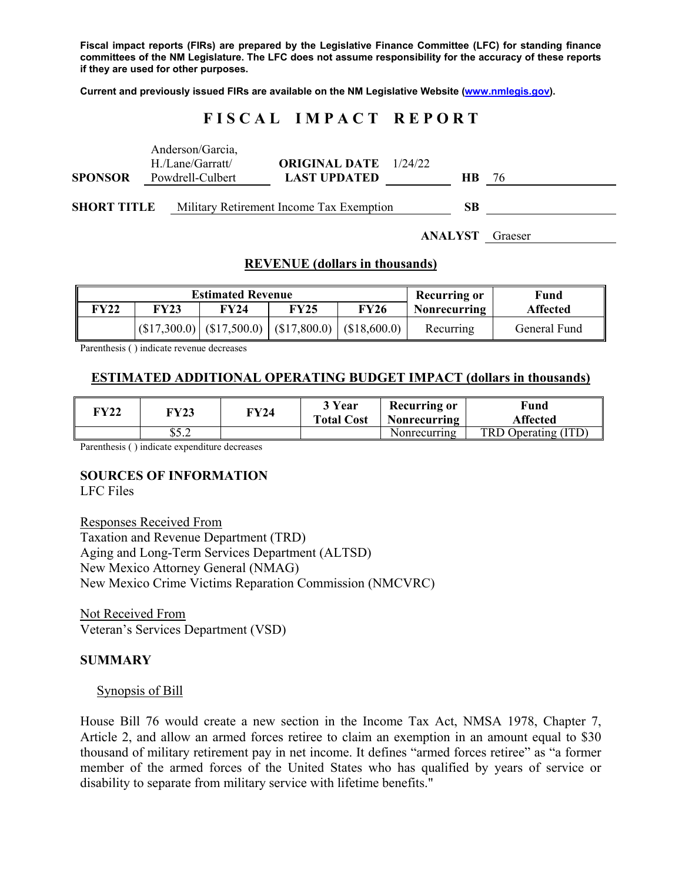**Fiscal impact reports (FIRs) are prepared by the Legislative Finance Committee (LFC) for standing finance committees of the NM Legislature. The LFC does not assume responsibility for the accuracy of these reports if they are used for other purposes.** 

**Current and previously issued FIRs are available on the NM Legislative Website (www.nmlegis.gov).** 

# **F I S C A L I M P A C T R E P O R T**

|                    | Anderson/Garcia,<br>H./Lane/Garratt/ | <b>ORIGINAL DATE</b> 1/24/22             |                |         |
|--------------------|--------------------------------------|------------------------------------------|----------------|---------|
| <b>SPONSOR</b>     | Powdrell-Culbert                     | <b>LAST UPDATED</b>                      | <b>HB</b>      | -76     |
| <b>SHORT TITLE</b> |                                      | Military Retirement Income Tax Exemption | SВ             |         |
|                    |                                      |                                          | <b>ANALYST</b> | Graeser |

# **REVENUE (dollars in thousands)**

|      | <b>Estimated Revenue</b> |                                                         |      |      | Recurring or        | Fund            |  |
|------|--------------------------|---------------------------------------------------------|------|------|---------------------|-----------------|--|
| FY22 | FY23                     | <b>FY24</b>                                             | FY25 | FY26 | <b>Nonrecurring</b> | <b>Affected</b> |  |
|      |                          | $ (\$17,300.0) (\$17,500.0) (\$17,800.0) (\$18,600.0) $ |      |      | Recurring           | General Fund    |  |

Parenthesis ( ) indicate revenue decreases

### **ESTIMATED ADDITIONAL OPERATING BUDGET IMPACT (dollars in thousands)**

| YY 22 | <b>FY23</b>  | FY24 | 3 Year<br><b>Total Cost</b> | <b>Recurring or</b><br>Nonrecurring | Fund<br>Affected    |
|-------|--------------|------|-----------------------------|-------------------------------------|---------------------|
|       | C5<br>ے. ر ن |      |                             | Nonrecurring                        | TRD Operating (ITD) |

Parenthesis ( ) indicate expenditure decreases

### **SOURCES OF INFORMATION**

LFC Files

Responses Received From Taxation and Revenue Department (TRD) Aging and Long-Term Services Department (ALTSD) New Mexico Attorney General (NMAG)

New Mexico Crime Victims Reparation Commission (NMCVRC)

Not Received From Veteran's Services Department (VSD)

#### **SUMMARY**

#### Synopsis of Bill

House Bill 76 would create a new section in the Income Tax Act, NMSA 1978, Chapter 7, Article 2, and allow an armed forces retiree to claim an exemption in an amount equal to \$30 thousand of military retirement pay in net income. It defines "armed forces retiree" as "a former member of the armed forces of the United States who has qualified by years of service or disability to separate from military service with lifetime benefits."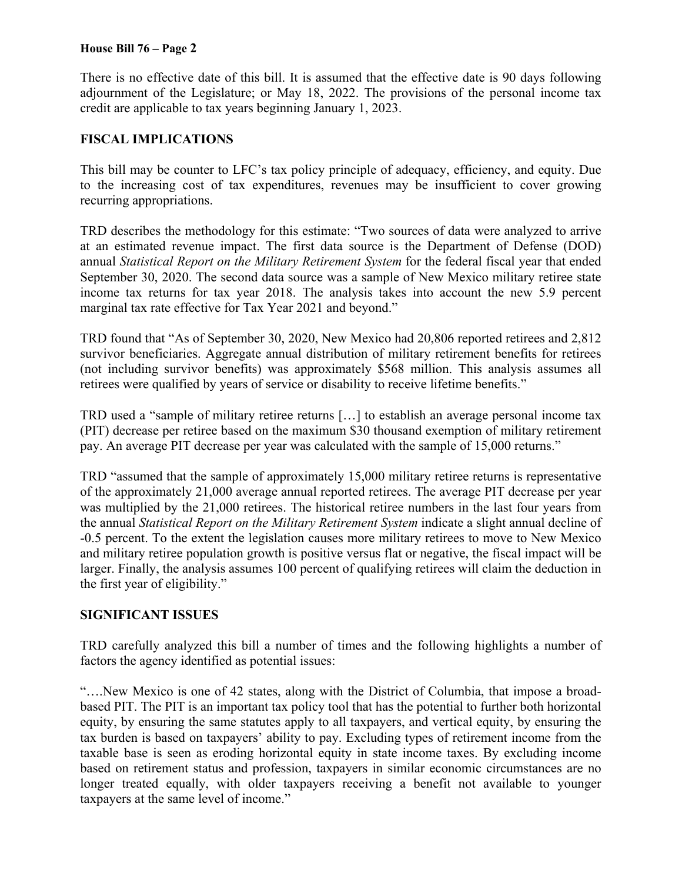### **House Bill 76 – Page 2**

There is no effective date of this bill. It is assumed that the effective date is 90 days following adjournment of the Legislature; or May 18, 2022. The provisions of the personal income tax credit are applicable to tax years beginning January 1, 2023.

## **FISCAL IMPLICATIONS**

This bill may be counter to LFC's tax policy principle of adequacy, efficiency, and equity. Due to the increasing cost of tax expenditures, revenues may be insufficient to cover growing recurring appropriations.

TRD describes the methodology for this estimate: "Two sources of data were analyzed to arrive at an estimated revenue impact. The first data source is the Department of Defense (DOD) annual *Statistical Report on the Military Retirement System* for the federal fiscal year that ended September 30, 2020. The second data source was a sample of New Mexico military retiree state income tax returns for tax year 2018. The analysis takes into account the new 5.9 percent marginal tax rate effective for Tax Year 2021 and beyond."

TRD found that "As of September 30, 2020, New Mexico had 20,806 reported retirees and 2,812 survivor beneficiaries. Aggregate annual distribution of military retirement benefits for retirees (not including survivor benefits) was approximately \$568 million. This analysis assumes all retirees were qualified by years of service or disability to receive lifetime benefits."

TRD used a "sample of military retiree returns […] to establish an average personal income tax (PIT) decrease per retiree based on the maximum \$30 thousand exemption of military retirement pay. An average PIT decrease per year was calculated with the sample of 15,000 returns."

TRD "assumed that the sample of approximately 15,000 military retiree returns is representative of the approximately 21,000 average annual reported retirees. The average PIT decrease per year was multiplied by the 21,000 retirees. The historical retiree numbers in the last four years from the annual *Statistical Report on the Military Retirement System* indicate a slight annual decline of -0.5 percent. To the extent the legislation causes more military retirees to move to New Mexico and military retiree population growth is positive versus flat or negative, the fiscal impact will be larger. Finally, the analysis assumes 100 percent of qualifying retirees will claim the deduction in the first year of eligibility."

### **SIGNIFICANT ISSUES**

TRD carefully analyzed this bill a number of times and the following highlights a number of factors the agency identified as potential issues:

"….New Mexico is one of 42 states, along with the District of Columbia, that impose a broadbased PIT. The PIT is an important tax policy tool that has the potential to further both horizontal equity, by ensuring the same statutes apply to all taxpayers, and vertical equity, by ensuring the tax burden is based on taxpayers' ability to pay. Excluding types of retirement income from the taxable base is seen as eroding horizontal equity in state income taxes. By excluding income based on retirement status and profession, taxpayers in similar economic circumstances are no longer treated equally, with older taxpayers receiving a benefit not available to younger taxpayers at the same level of income."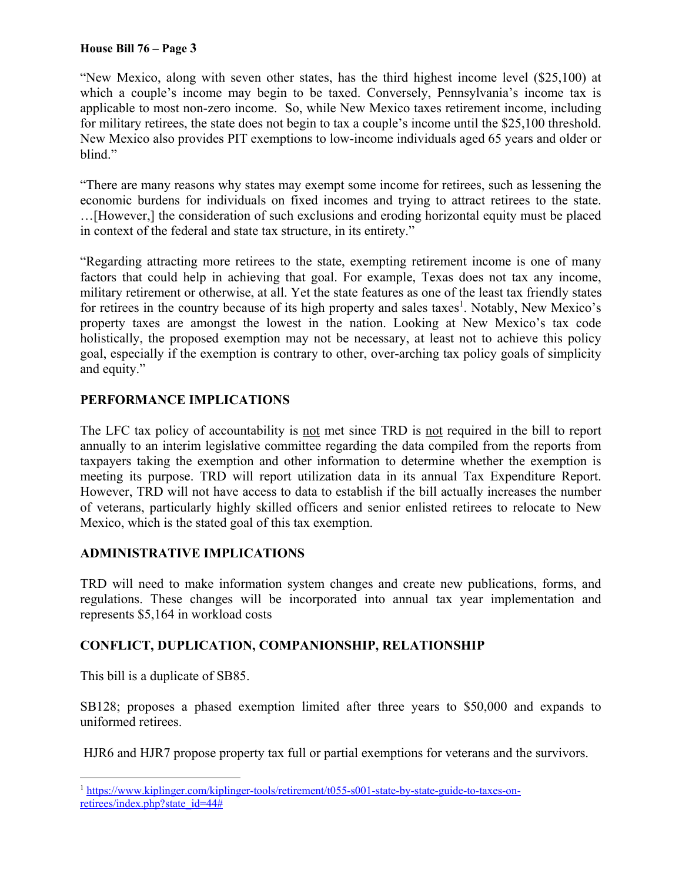### **House Bill 76 – Page 3**

"New Mexico, along with seven other states, has the third highest income level (\$25,100) at which a couple's income may begin to be taxed. Conversely, Pennsylvania's income tax is applicable to most non-zero income. So, while New Mexico taxes retirement income, including for military retirees, the state does not begin to tax a couple's income until the \$25,100 threshold. New Mexico also provides PIT exemptions to low-income individuals aged 65 years and older or blind."

"There are many reasons why states may exempt some income for retirees, such as lessening the economic burdens for individuals on fixed incomes and trying to attract retirees to the state. …[However,] the consideration of such exclusions and eroding horizontal equity must be placed in context of the federal and state tax structure, in its entirety."

"Regarding attracting more retirees to the state, exempting retirement income is one of many factors that could help in achieving that goal. For example, Texas does not tax any income, military retirement or otherwise, at all. Yet the state features as one of the least tax friendly states for retirees in the country because of its high property and sales taxes<sup>1</sup>. Notably, New Mexico's property taxes are amongst the lowest in the nation. Looking at New Mexico's tax code holistically, the proposed exemption may not be necessary, at least not to achieve this policy goal, especially if the exemption is contrary to other, over-arching tax policy goals of simplicity and equity."

# **PERFORMANCE IMPLICATIONS**

The LFC tax policy of accountability is not met since TRD is not required in the bill to report annually to an interim legislative committee regarding the data compiled from the reports from taxpayers taking the exemption and other information to determine whether the exemption is meeting its purpose. TRD will report utilization data in its annual Tax Expenditure Report. However, TRD will not have access to data to establish if the bill actually increases the number of veterans, particularly highly skilled officers and senior enlisted retirees to relocate to New Mexico, which is the stated goal of this tax exemption.

## **ADMINISTRATIVE IMPLICATIONS**

TRD will need to make information system changes and create new publications, forms, and regulations. These changes will be incorporated into annual tax year implementation and represents \$5,164 in workload costs

# **CONFLICT, DUPLICATION, COMPANIONSHIP, RELATIONSHIP**

This bill is a duplicate of SB85.

SB128; proposes a phased exemption limited after three years to \$50,000 and expands to uniformed retirees.

HJR6 and HJR7 propose property tax full or partial exemptions for veterans and the survivors.

 $\overline{a}$ <sup>1</sup> https://www.kiplinger.com/kiplinger-tools/retirement/t055-s001-state-by-state-guide-to-taxes-onretirees/index.php?state\_id=44#